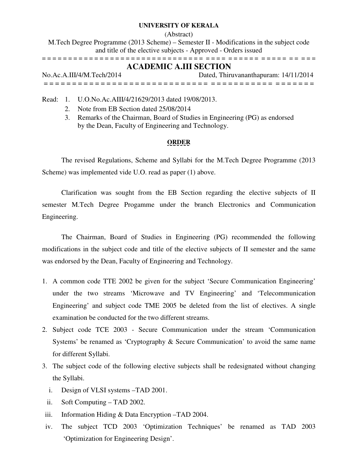## **UNIVERSITY OF KERALA**

(Abstract)

M.Tech Degree Programme (2013 Scheme) – Semester II - Modifications in the subject code and title of the elective subjects - Approved - Orders issued = = = = = = = = = = = = = = = = = = = = = = = = = = = = = = = = = = = = = = = = = = = = = = = = = = =

## **ACADEMIC A.III SECTION**

| No.Ac.A.III/4/M.Tech/2014 | Dated, Thiruvananthapuram: 14/11/2014 |
|---------------------------|---------------------------------------|
|                           |                                       |

Read: 1. U.O.No.Ac.AIII/4/21629/2013 dated 19/08/2013.

- 2. Note from EB Section dated 25/08/2014
- 3. Remarks of the Chairman, Board of Studies in Engineering (PG) as endorsed by the Dean, Faculty of Engineering and Technology.

## **ORDER**

The revised Regulations, Scheme and Syllabi for the M.Tech Degree Programme (2013 Scheme) was implemented vide U.O. read as paper (1) above.

 Clarification was sought from the EB Section regarding the elective subjects of II semester M.Tech Degree Progamme under the branch Electronics and Communication Engineering.

 The Chairman, Board of Studies in Engineering (PG) recommended the following modifications in the subject code and title of the elective subjects of II semester and the same was endorsed by the Dean, Faculty of Engineering and Technology.

- 1. A common code TTE 2002 be given for the subject 'Secure Communication Engineering' under the two streams 'Microwave and TV Engineering' and 'Telecommunication Engineering' and subject code TME 2005 be deleted from the list of electives. A single examination be conducted for the two different streams.
- 2. Subject code TCE 2003 Secure Communication under the stream 'Communication Systems' be renamed as 'Cryptography & Secure Communication' to avoid the same name for different Syllabi.
- 3. The subject code of the following elective subjects shall be redesignated without changing the Syllabi.
	- i. Design of VLSI systems –TAD 2001.
	- ii. Soft Computing TAD 2002.
- iii. Information Hiding & Data Encryption –TAD 2004.
- iv. The subject TCD 2003 'Optimization Techniques' be renamed as TAD 2003 'Optimization for Engineering Design'.